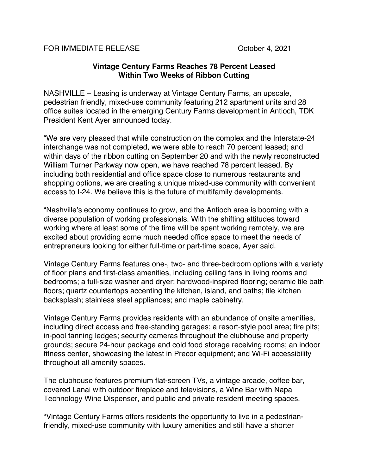FOR IMMEDIATE RELEASE CORPORATION CORPORATION CORPORATION OCTOBER 4, 2021

## **Vintage Century Farms Reaches 78 Percent Leased Within Two Weeks of Ribbon Cutting**

NASHVILLE – Leasing is underway at Vintage Century Farms, an upscale, pedestrian friendly, mixed-use community featuring 212 apartment units and 28 office suites located in the emerging Century Farms development in Antioch, TDK President Kent Ayer announced today.

"We are very pleased that while construction on the complex and the Interstate-24 interchange was not completed, we were able to reach 70 percent leased; and within days of the ribbon cutting on September 20 and with the newly reconstructed William Turner Parkway now open, we have reached 78 percent leased. By including both residential and office space close to numerous restaurants and shopping options, we are creating a unique mixed-use community with convenient access to I-24. We believe this is the future of multifamily developments.

"Nashville's economy continues to grow, and the Antioch area is booming with a diverse population of working professionals. With the shifting attitudes toward working where at least some of the time will be spent working remotely, we are excited about providing some much needed office space to meet the needs of entrepreneurs looking for either full-time or part-time space, Ayer said.

Vintage Century Farms features one-, two- and three-bedroom options with a variety of floor plans and first-class amenities, including ceiling fans in living rooms and bedrooms; a full-size washer and dryer; hardwood-inspired flooring; ceramic tile bath floors; quartz countertops accenting the kitchen, island, and baths; tile kitchen backsplash; stainless steel appliances; and maple cabinetry.

Vintage Century Farms provides residents with an abundance of onsite amenities, including direct access and free-standing garages; a resort-style pool area; fire pits; in-pool tanning ledges; security cameras throughout the clubhouse and property grounds; secure 24-hour package and cold food storage receiving rooms; an indoor fitness center, showcasing the latest in Precor equipment; and Wi-Fi accessibility throughout all amenity spaces.

The clubhouse features premium flat-screen TVs, a vintage arcade, coffee bar, covered Lanai with outdoor fireplace and televisions, a Wine Bar with Napa Technology Wine Dispenser, and public and private resident meeting spaces.

"Vintage Century Farms offers residents the opportunity to live in a pedestrianfriendly, mixed-use community with luxury amenities and still have a shorter